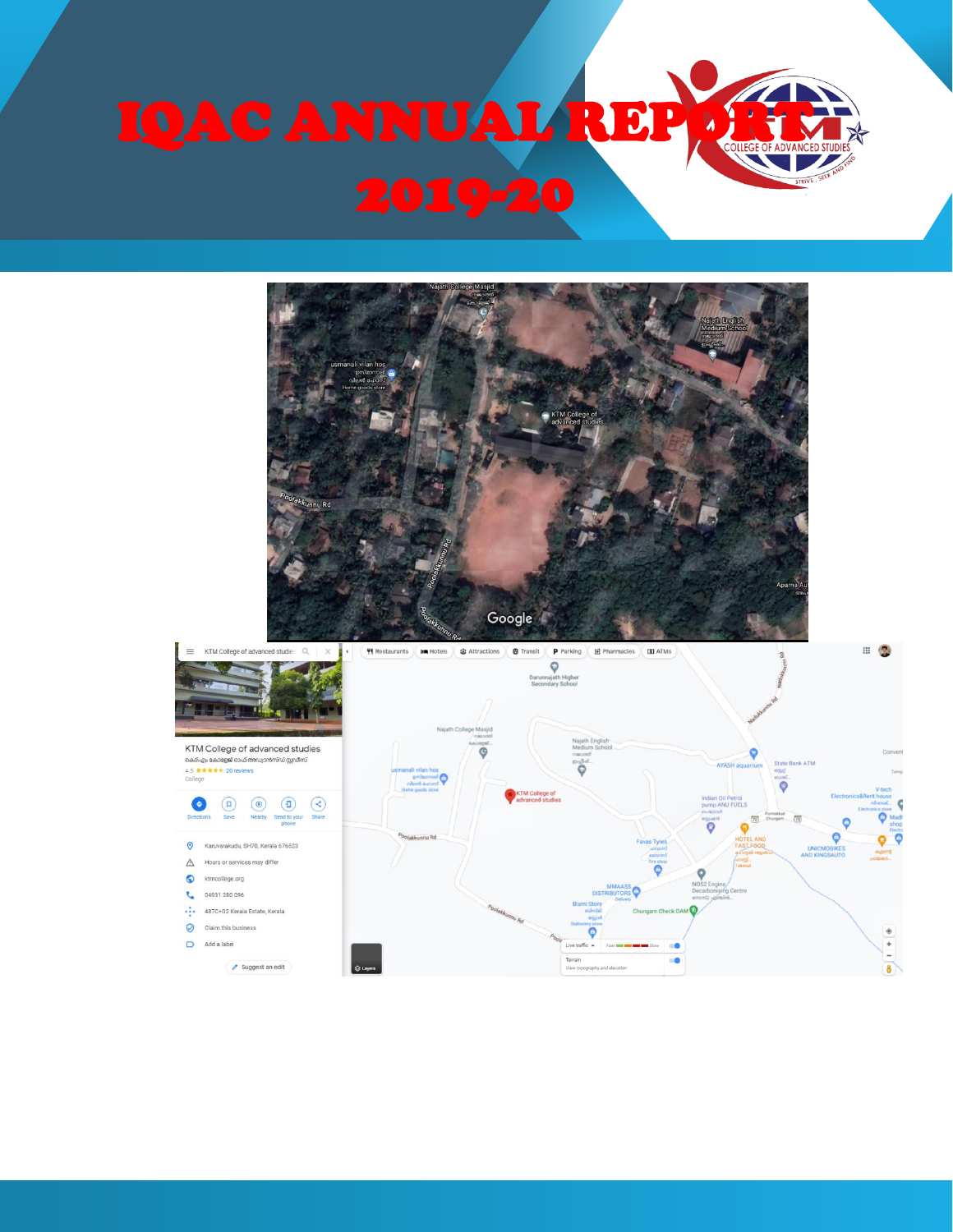

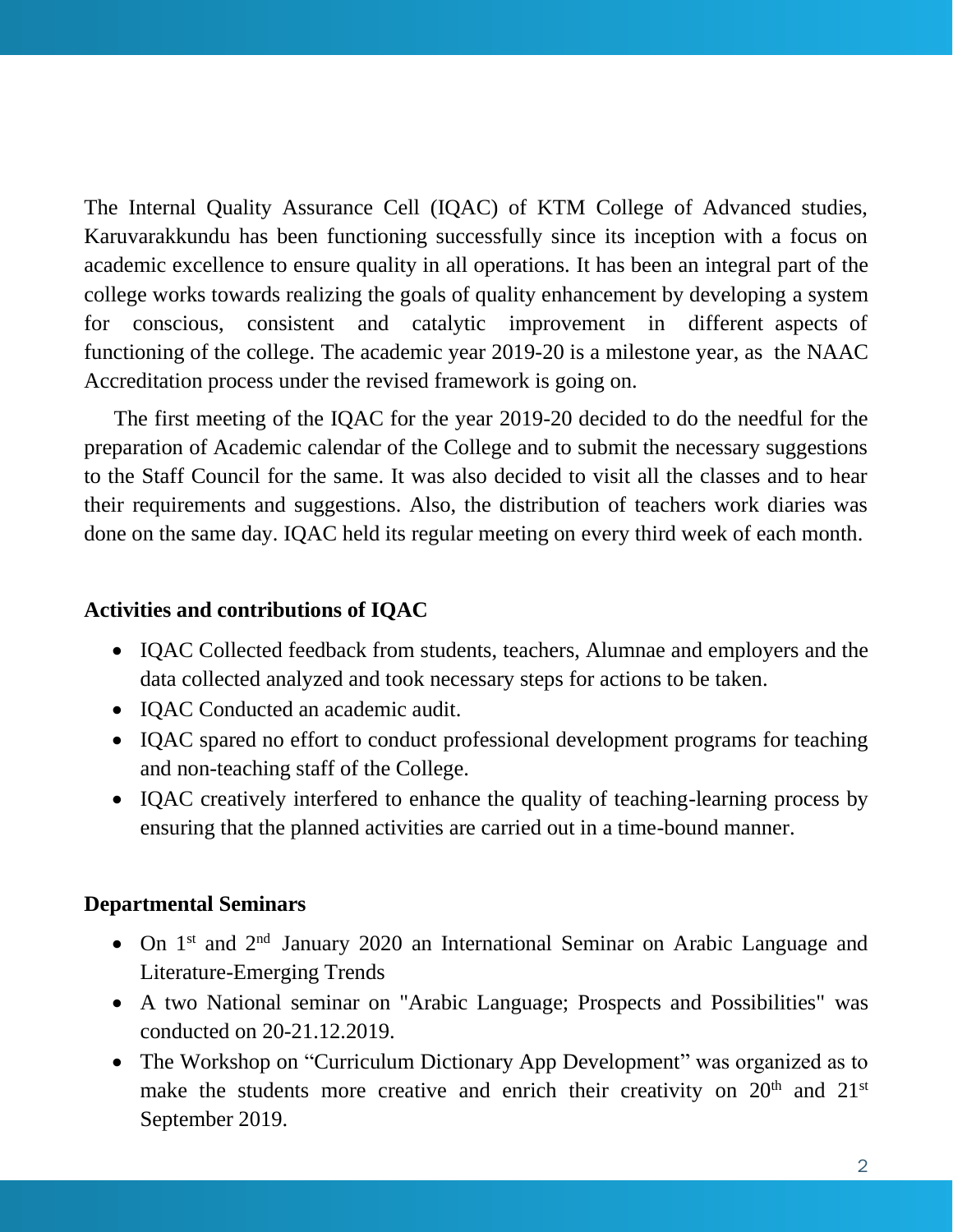The Internal Quality Assurance Cell (IQAC) of KTM College of Advanced studies, Karuvarakkundu has been functioning successfully since its inception with a focus on academic excellence to ensure quality in all operations. It has been an integral part of the college works towards realizing the goals of quality enhancement by developing a system for conscious, consistent and catalytic improvement in different aspects of functioning of the college. The academic year 2019-20 is a milestone year, as the NAAC Accreditation process under the revised framework is going on.

The first meeting of the IQAC for the year 2019-20 decided to do the needful for the preparation of Academic calendar of the College and to submit the necessary suggestions to the Staff Council for the same. It was also decided to visit all the classes and to hear their requirements and suggestions. Also, the distribution of teachers work diaries was done on the same day. IQAC held its regular meeting on every third week of each month.

#### **Activities and contributions of IQAC**

- IQAC Collected feedback from students, teachers, Alumnae and employers and the data collected analyzed and took necessary steps for actions to be taken.
- IQAC Conducted an academic audit.
- IQAC spared no effort to conduct professional development programs for teaching and non-teaching staff of the College.
- IQAC creatively interfered to enhance the quality of teaching-learning process by ensuring that the planned activities are carried out in a time-bound manner.

#### **Departmental Seminars**

- On 1st and 2nd January 2020 an International Seminar on Arabic Language and Literature-Emerging Trends
- A two National seminar on "Arabic Language; Prospects and Possibilities" was conducted on 20-21.12.2019.
- The Workshop on "Curriculum Dictionary App Development" was organized as to make the students more creative and enrich their creativity on  $20<sup>th</sup>$  and  $21<sup>st</sup>$ September 2019.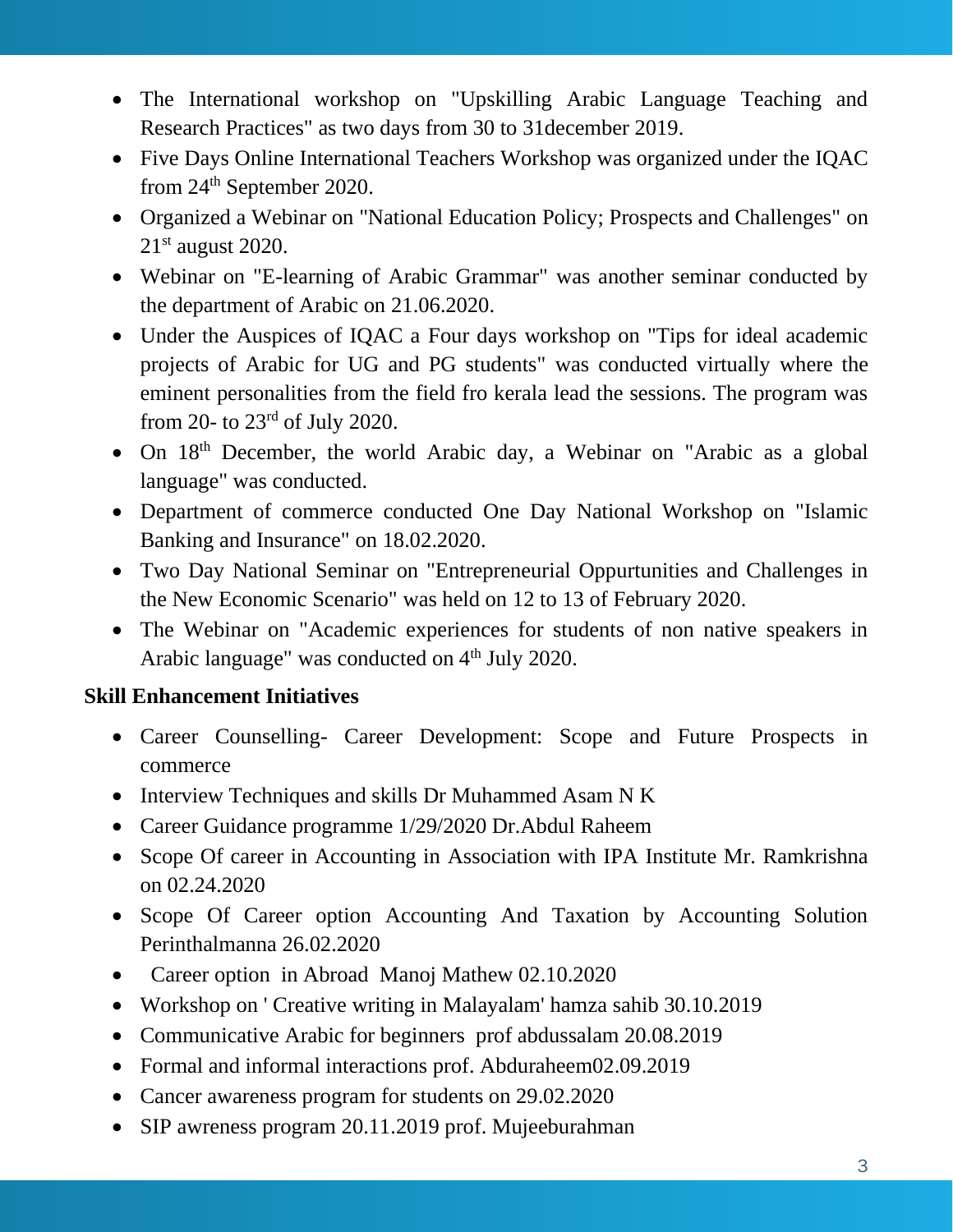- The International workshop on "Upskilling Arabic Language Teaching and Research Practices" as two days from 30 to 31december 2019.
- Five Days Online International Teachers Workshop was organized under the IQAC from 24th September 2020.
- Organized a Webinar on "National Education Policy; Prospects and Challenges" on  $21<sup>st</sup>$  august 2020.
- Webinar on "E-learning of Arabic Grammar" was another seminar conducted by the department of Arabic on 21.06.2020.
- Under the Auspices of IQAC a Four days workshop on "Tips for ideal academic projects of Arabic for UG and PG students" was conducted virtually where the eminent personalities from the field fro kerala lead the sessions. The program was from 20- to 23rd of July 2020.
- On 18<sup>th</sup> December, the world Arabic day, a Webinar on "Arabic as a global language" was conducted.
- Department of commerce conducted One Day National Workshop on "Islamic Banking and Insurance" on 18.02.2020.
- Two Day National Seminar on "Entrepreneurial Oppurtunities and Challenges in the New Economic Scenario" was held on 12 to 13 of February 2020.
- The Webinar on "Academic experiences for students of non native speakers in Arabic language" was conducted on  $4<sup>th</sup>$  July 2020.

# **Skill Enhancement Initiatives**

- Career Counselling- Career Development: Scope and Future Prospects in commerce
- Interview Techniques and skills Dr Muhammed Asam N K
- Career Guidance programme 1/29/2020 Dr. Abdul Raheem
- Scope Of career in Accounting in Association with IPA Institute Mr. Ramkrishna on 02.24.2020
- Scope Of Career option Accounting And Taxation by Accounting Solution Perinthalmanna 26.02.2020
- Career option in Abroad Manoj Mathew 02.10.2020
- Workshop on ' Creative writing in Malayalam' hamza sahib 30.10.2019
- Communicative Arabic for beginners prof abdussalam 20.08.2019
- Formal and informal interactions prof. Abduraheem02.09.2019
- Cancer awareness program for students on 29.02.2020
- SIP awreness program 20.11.2019 prof. Mujeeburahman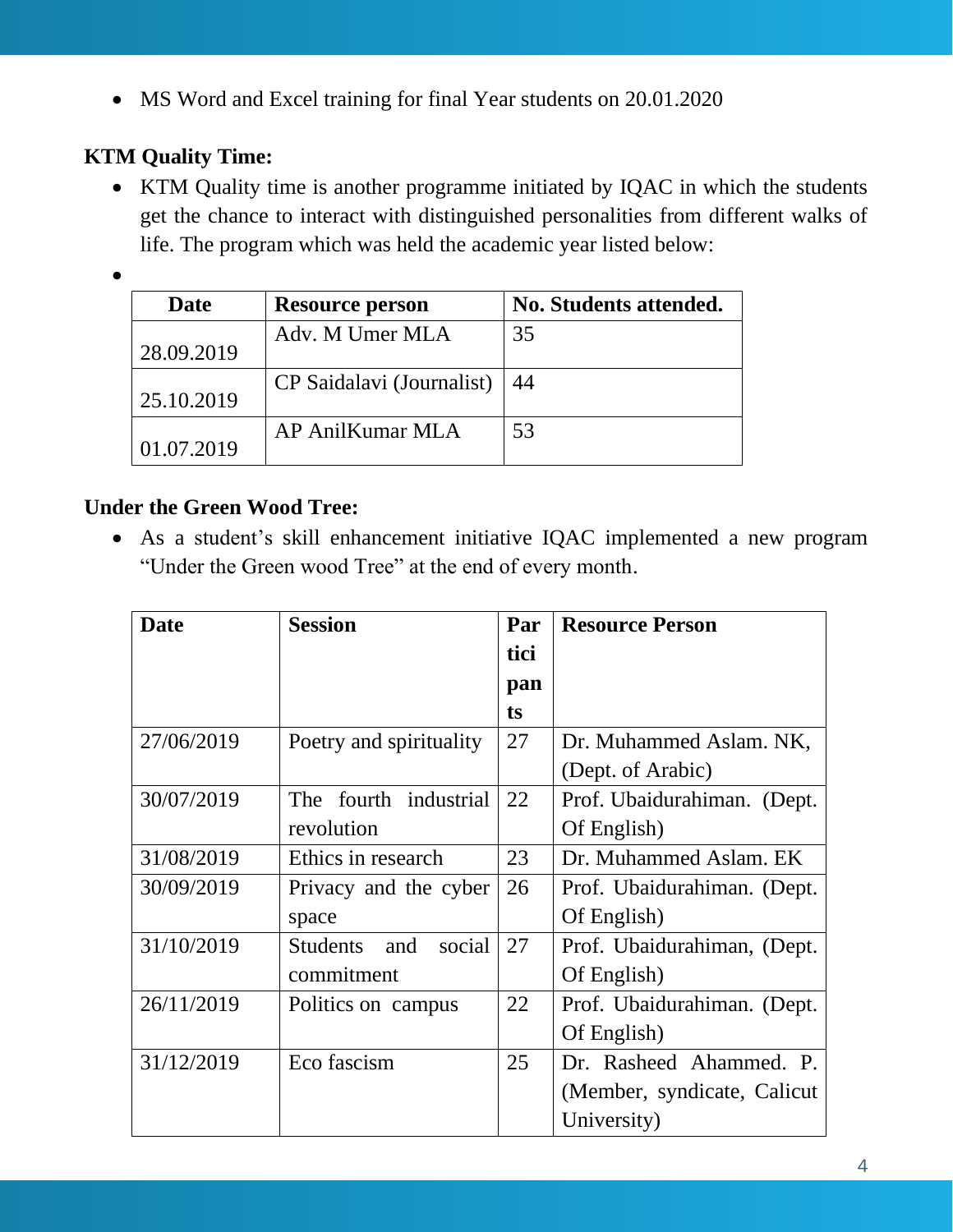• MS Word and Excel training for final Year students on 20.01.2020

# **KTM Quality Time:**

• KTM Quality time is another programme initiated by IQAC in which the students get the chance to interact with distinguished personalities from different walks of life. The program which was held the academic year listed below:

•

| Date       | <b>Resource person</b>    | No. Students attended. |
|------------|---------------------------|------------------------|
| 28.09.2019 | Adv. M Umer MLA           | 35                     |
| 25.10.2019 | CP Saidalavi (Journalist) | 44                     |
| 01.07.2019 | AP AnilKumar MLA          | 53                     |

# **Under the Green Wood Tree:**

• As a student's skill enhancement initiative IQAC implemented a new program "Under the Green wood Tree" at the end of every month.

| <b>Date</b> | <b>Session</b>            | Par  | <b>Resource Person</b>       |  |
|-------------|---------------------------|------|------------------------------|--|
|             |                           | tici |                              |  |
|             |                           | pan  |                              |  |
|             |                           | ts   |                              |  |
| 27/06/2019  | Poetry and spirituality   | 27   | Dr. Muhammed Aslam. NK,      |  |
|             |                           |      | (Dept. of Arabic)            |  |
| 30/07/2019  | The fourth industrial     | 22   | Prof. Ubaidurahiman. (Dept.  |  |
|             | revolution                |      | Of English)                  |  |
| 31/08/2019  | Ethics in research        | 23   | Dr. Muhammed Aslam. EK       |  |
| 30/09/2019  | Privacy and the cyber     | 26   | Prof. Ubaidurahiman. (Dept.  |  |
|             | space                     |      | Of English)                  |  |
| 31/10/2019  | social<br>Students<br>and | 27   | Prof. Ubaidurahiman, (Dept.  |  |
|             | commitment                |      | Of English)                  |  |
| 26/11/2019  | Politics on campus        | 22   | Prof. Ubaidurahiman. (Dept.  |  |
|             |                           |      | Of English)                  |  |
| 31/12/2019  | Eco fascism               | 25   | Dr. Rasheed Ahammed. P.      |  |
|             |                           |      | (Member, syndicate, Calicut) |  |
|             |                           |      | University)                  |  |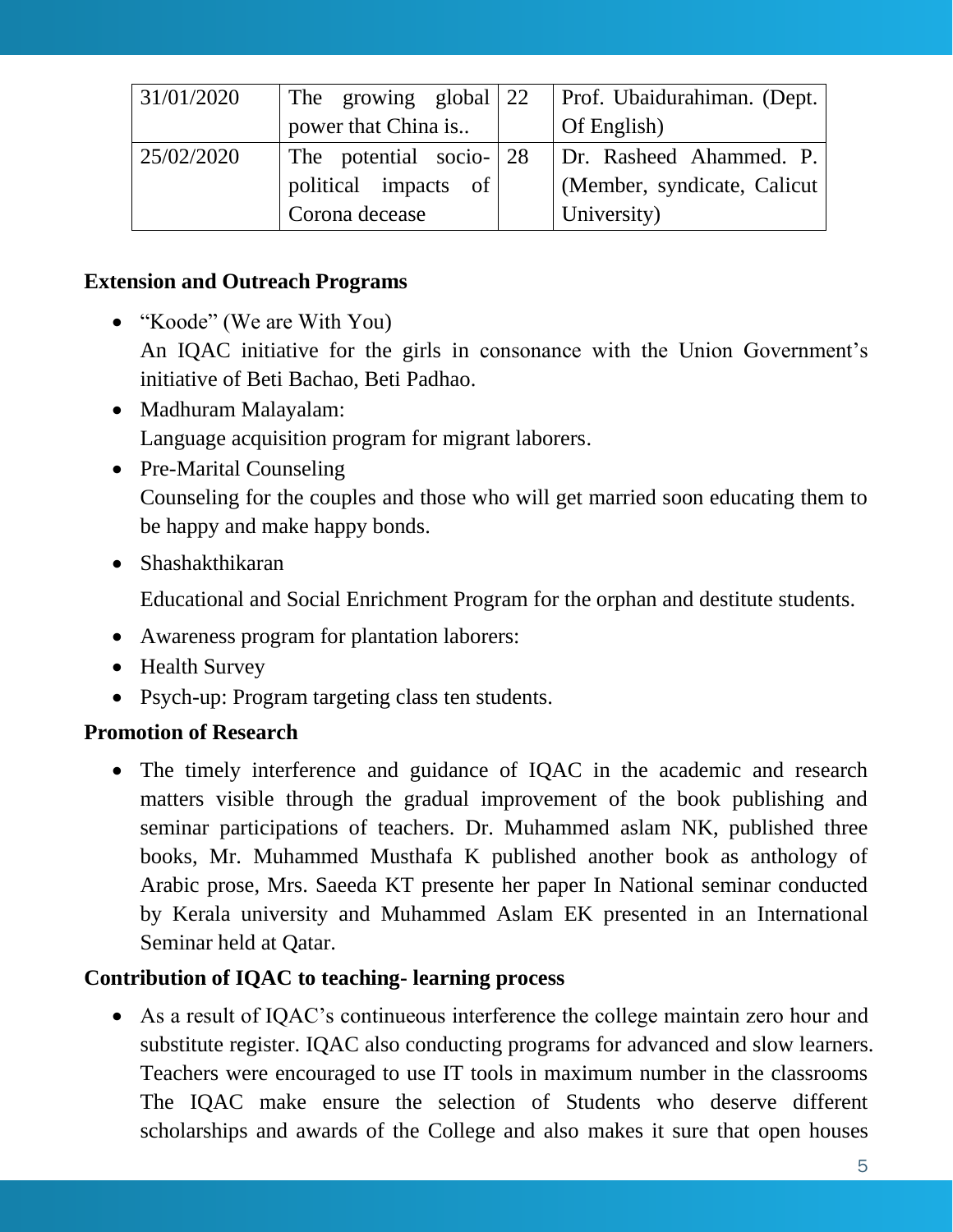| 31/01/2020 | The growing global 22   | Prof. Ubaidurahiman. (Dept.  |  |
|------------|-------------------------|------------------------------|--|
|            | power that China is     | Of English)                  |  |
| 25/02/2020 | The potential socio-128 | Dr. Rasheed Ahammed. P.      |  |
|            | political impacts of    | (Member, syndicate, Calicut) |  |
|            | Corona decease          | University)                  |  |

### **Extension and Outreach Programs**

- "Koode" (We are With You) An IQAC initiative for the girls in consonance with the Union Government's initiative of Beti Bachao, Beti Padhao.
- Madhuram Malayalam: Language acquisition program for migrant laborers.
- Pre-Marital Counseling Counseling for the couples and those who will get married soon educating them to be happy and make happy bonds.
- Shashakthikaran

Educational and Social Enrichment Program for the orphan and destitute students.

- Awareness program for plantation laborers:
- Health Survey
- Psych-up: Program targeting class ten students.

# **Promotion of Research**

• The timely interference and guidance of IQAC in the academic and research matters visible through the gradual improvement of the book publishing and seminar participations of teachers. Dr. Muhammed aslam NK, published three books, Mr. Muhammed Musthafa K published another book as anthology of Arabic prose, Mrs. Saeeda KT presente her paper In National seminar conducted by Kerala university and Muhammed Aslam EK presented in an International Seminar held at Qatar.

# **Contribution of IQAC to teaching- learning process**

• As a result of IQAC's continueous interference the college maintain zero hour and substitute register. IQAC also conducting programs for advanced and slow learners. Teachers were encouraged to use IT tools in maximum number in the classrooms The IQAC make ensure the selection of Students who deserve different scholarships and awards of the College and also makes it sure that open houses